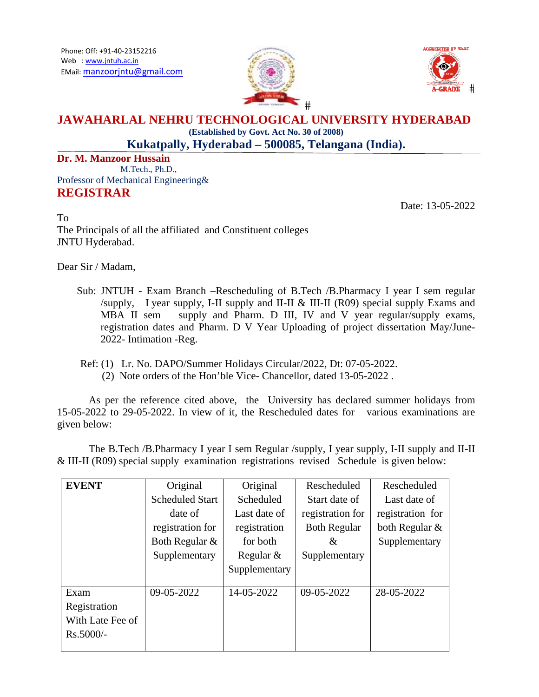



## **JAWAHARLAL NEHRU TECHNOLOGICAL UNIVERSITY HYDERABAD** (Established by Govt. Act No. 30 of 2008)

Kukatpally, Hyderabad - 500085, Telangana (India).

Dr. M. Manzoor Hussain M.Tech., Ph.D., Professor of Mechanical Engineering& **REGISTRAR** 

Date: 13-05-2022

 $To$ The Principals of all the affiliated and Constituent colleges JNTU Hyderabad.

Dear Sir / Madam,

- Sub: JNTUH Exam Branch --Rescheduling of B.Tech /B.Pharmacy I year I sem regular /supply, I year supply, I-II supply and II-II & III-II (R09) special supply Exams and supply and Pharm. D III, IV and V year regular/supply exams, MBA II sem registration dates and Pharm. D V Year Uploading of project dissertation May/June-2022- Intimation -Reg.
- Ref: (1) Lr. No. DAPO/Summer Holidays Circular/2022, Dt: 07-05-2022. (2) Note orders of the Hon'ble Vice-Chancellor, dated 13-05-2022.

As per the reference cited above, the University has declared summer holidays from 15-05-2022 to 29-05-2022. In view of it, the Rescheduled dates for various examinations are given below:

The B.Tech /B.Pharmacy I year I sem Regular /supply, I year supply, I-II supply and II-II  $\&$  III-II (R09) special supply examination registrations revised Schedule is given below:

| <b>EVENT</b>     | Original               | Original      | Rescheduled         | Rescheduled      |
|------------------|------------------------|---------------|---------------------|------------------|
|                  | <b>Scheduled Start</b> | Scheduled     | Start date of       | Last date of     |
|                  | date of                | Last date of  | registration for    | registration for |
|                  | registration for       | registration  | <b>Both Regular</b> | both Regular &   |
|                  | Both Regular &         | for both      | &                   | Supplementary    |
|                  | Supplementary          | Regular $&$   | Supplementary       |                  |
|                  |                        | Supplementary |                     |                  |
|                  |                        |               |                     |                  |
| Exam             | 09-05-2022             | 14-05-2022    | 09-05-2022          | 28-05-2022       |
| Registration     |                        |               |                     |                  |
| With Late Fee of |                        |               |                     |                  |
| $Rs.5000/-$      |                        |               |                     |                  |
|                  |                        |               |                     |                  |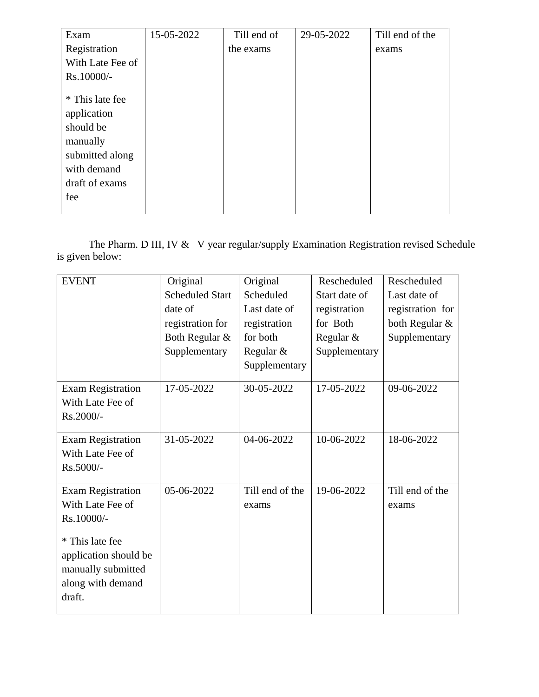| Exam                                                                                                               | 15-05-2022 | Till end of | 29-05-2022 | Till end of the |
|--------------------------------------------------------------------------------------------------------------------|------------|-------------|------------|-----------------|
| Registration                                                                                                       |            | the exams   |            | exams           |
| With Late Fee of                                                                                                   |            |             |            |                 |
| Rs.10000/-                                                                                                         |            |             |            |                 |
| * This late fee<br>application<br>should be<br>manually<br>submitted along<br>with demand<br>draft of exams<br>fee |            |             |            |                 |

The Pharm. D III, IV & V year regular/supply Examination Registration revised Schedule is given below:

| <b>EVENT</b>                                                                                                                                                | Original<br><b>Scheduled Start</b><br>date of<br>registration for<br>Both Regular &<br>Supplementary | Original<br>Scheduled<br>Last date of<br>registration<br>for both<br>Regular &<br>Supplementary | Rescheduled<br>Start date of<br>registration<br>for Both<br>Regular &<br>Supplementary | Rescheduled<br>Last date of<br>registration for<br>both Regular &<br>Supplementary |
|-------------------------------------------------------------------------------------------------------------------------------------------------------------|------------------------------------------------------------------------------------------------------|-------------------------------------------------------------------------------------------------|----------------------------------------------------------------------------------------|------------------------------------------------------------------------------------|
| <b>Exam Registration</b><br>With Late Fee of<br>Rs.2000/-                                                                                                   | 17-05-2022                                                                                           | 30-05-2022                                                                                      | 17-05-2022                                                                             | 09-06-2022                                                                         |
| <b>Exam Registration</b><br>With Late Fee of<br>Rs.5000/-                                                                                                   | 31-05-2022                                                                                           | 04-06-2022                                                                                      | 10-06-2022                                                                             | 18-06-2022                                                                         |
| <b>Exam Registration</b><br>With Late Fee of<br>Rs.10000/-<br>* This late fee<br>application should be<br>manually submitted<br>along with demand<br>draft. | 05-06-2022                                                                                           | Till end of the<br>exams                                                                        | 19-06-2022                                                                             | Till end of the<br>exams                                                           |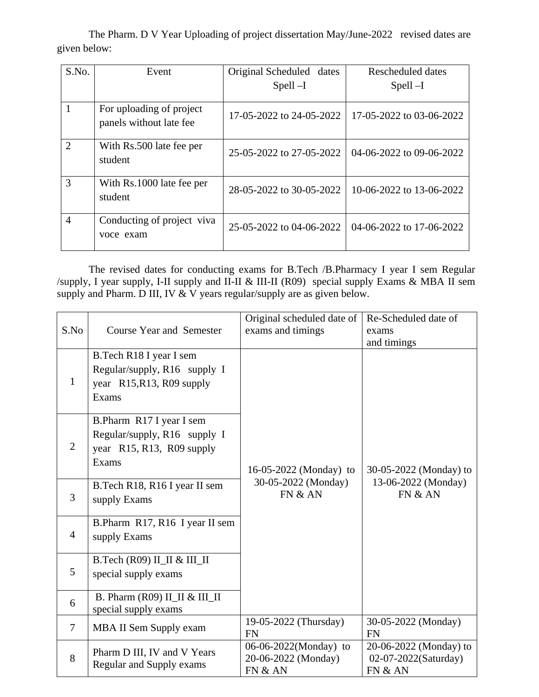The Pharm. D V Year Uploading of project dissertation May/June-2022 revised dates are given below:

| S.No.          | Event                                               | Original Scheduled<br>dates<br>$Spell -I$ | Rescheduled dates<br>$Spell -I$ |
|----------------|-----------------------------------------------------|-------------------------------------------|---------------------------------|
| 1              | For uploading of project<br>panels without late fee | 17-05-2022 to 24-05-2022                  | 17-05-2022 to 03-06-2022        |
| $\overline{2}$ | With Rs.500 late fee per<br>student                 | 25-05-2022 to 27-05-2022                  | 04-06-2022 to 09-06-2022        |
| 3              | With Rs.1000 late fee per<br>student                | 28-05-2022 to 30-05-2022                  | 10-06-2022 to 13-06-2022        |
| $\overline{4}$ | Conducting of project viva<br>voce exam             | 25-05-2022 to 04-06-2022                  | 04-06-2022 to 17-06-2022        |

The revised dates for conducting exams for B.Tech /B.Pharmacy I year I sem Regular /supply, I year supply, I-II supply and II-II & III-II (R09) special supply Exams & MBA II sem supply and Pharm. D III, IV & V years regular/supply are as given below.

| S.No           | <b>Course Year and Semester</b>                                                                | Original scheduled date of<br>exams and timings         | Re-Scheduled date of<br>exams<br>and timings              |
|----------------|------------------------------------------------------------------------------------------------|---------------------------------------------------------|-----------------------------------------------------------|
| $\mathbf{1}$   | B.Tech R18 I year I sem<br>Regular/supply, R16 supply I<br>year R15, R13, R09 supply<br>Exams  |                                                         |                                                           |
| $\overline{2}$ | B.Pharm R17 I year I sem<br>Regular/supply, R16 supply I<br>year R15, R13, R09 supply<br>Exams | 16-05-2022 (Monday) to                                  | 30-05-2022 (Monday) to                                    |
| 3              | B.Tech R18, R16 I year II sem<br>supply Exams                                                  | 30-05-2022 (Monday)<br>FN & AN                          | 13-06-2022 (Monday)<br>FN & AN                            |
| $\overline{4}$ | B.Pharm R17, R16 I year II sem<br>supply Exams                                                 |                                                         |                                                           |
| 5              | B.Tech (R09) II_II & III_II<br>special supply exams                                            |                                                         |                                                           |
| 6              | B. Pharm (R09) II_II & III_II<br>special supply exams                                          |                                                         |                                                           |
| $\overline{7}$ | MBA II Sem Supply exam                                                                         | 19-05-2022 (Thursday)<br><b>FN</b>                      | 30-05-2022 (Monday)<br><b>FN</b>                          |
| 8              | Pharm D III, IV and V Years<br>Regular and Supply exams                                        | 06-06-2022(Monday) to<br>20-06-2022 (Monday)<br>FN & AN | 20-06-2022 (Monday) to<br>02-07-2022(Saturday)<br>FN & AN |